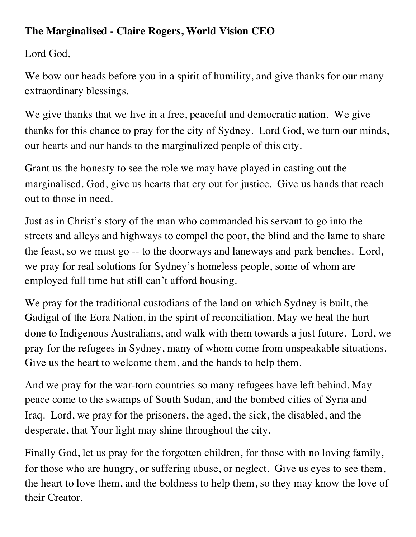## **The Marginalised - Claire Rogers, World Vision CEO**

Lord God,

We bow our heads before you in a spirit of humility, and give thanks for our many extraordinary blessings.

We give thanks that we live in a free, peaceful and democratic nation. We give thanks for this chance to pray for the city of Sydney. Lord God, we turn our minds, our hearts and our hands to the marginalized people of this city.

Grant us the honesty to see the role we may have played in casting out the marginalised. God, give us hearts that cry out for justice. Give us hands that reach out to those in need.

Just as in Christ's story of the man who commanded his servant to go into the streets and alleys and highways to compel the poor, the blind and the lame to share the feast, so we must go -- to the doorways and laneways and park benches. Lord, we pray for real solutions for Sydney's homeless people, some of whom are employed full time but still can't afford housing.

We pray for the traditional custodians of the land on which Sydney is built, the Gadigal of the Eora Nation, in the spirit of reconciliation. May we heal the hurt done to Indigenous Australians, and walk with them towards a just future. Lord, we pray for the refugees in Sydney, many of whom come from unspeakable situations. Give us the heart to welcome them, and the hands to help them.

And we pray for the war-torn countries so many refugees have left behind. May peace come to the swamps of South Sudan, and the bombed cities of Syria and Iraq. Lord, we pray for the prisoners, the aged, the sick, the disabled, and the desperate, that Your light may shine throughout the city.

Finally God, let us pray for the forgotten children, for those with no loving family, for those who are hungry, or suffering abuse, or neglect. Give us eyes to see them, the heart to love them, and the boldness to help them, so they may know the love of their Creator.